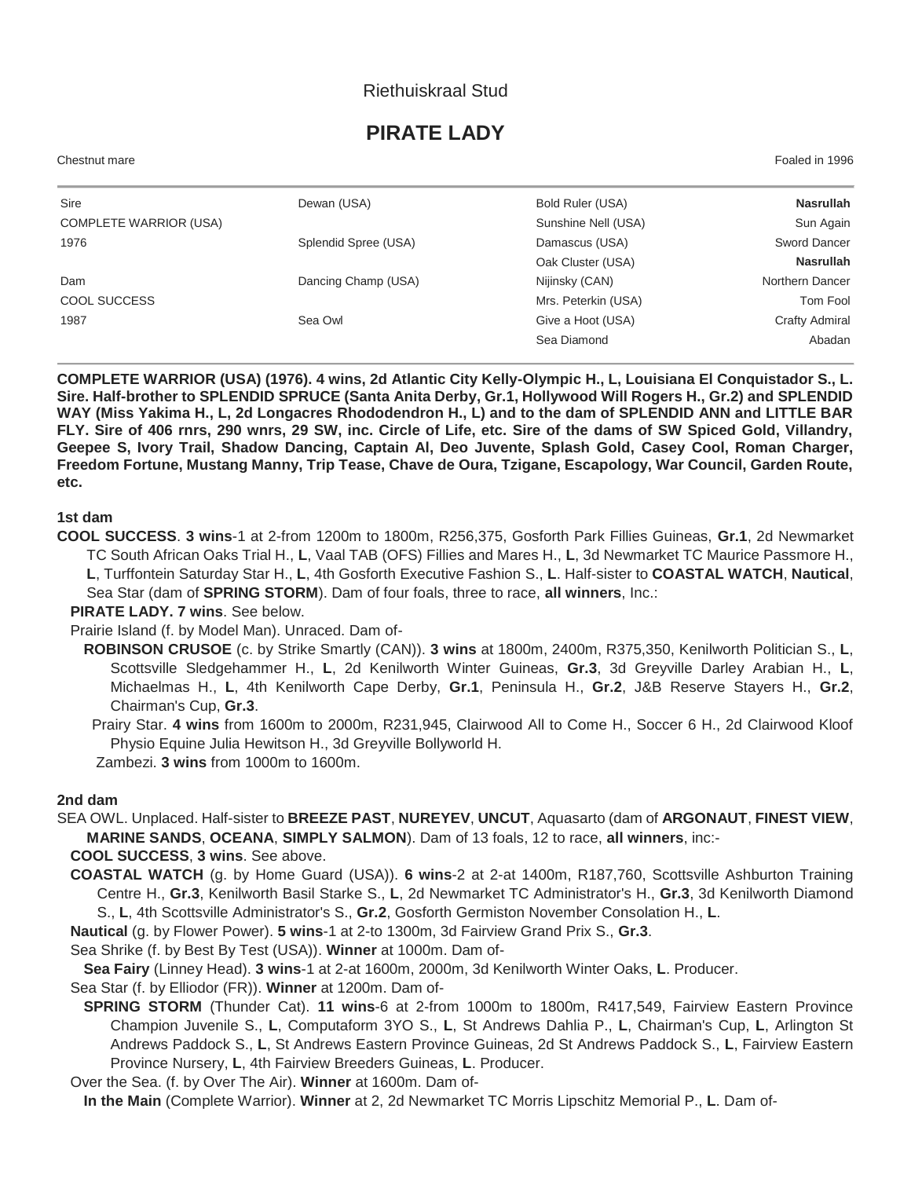# Riethuiskraal Stud

# **PIRATE LADY**

Chestnut mare Foaled in 1996

| Sire                          | Dewan (USA)          | Bold Ruler (USA)    | <b>Nasrullah</b>      |
|-------------------------------|----------------------|---------------------|-----------------------|
| <b>COMPLETE WARRIOR (USA)</b> |                      | Sunshine Nell (USA) | Sun Again             |
| 1976                          | Splendid Spree (USA) | Damascus (USA)      | Sword Dancer          |
|                               |                      | Oak Cluster (USA)   | <b>Nasrullah</b>      |
| Dam                           | Dancing Champ (USA)  | Nijinsky (CAN)      | Northern Dancer       |
| COOL SUCCESS                  |                      | Mrs. Peterkin (USA) | Tom Fool              |
| 1987                          | Sea Owl              | Give a Hoot (USA)   | <b>Crafty Admiral</b> |
|                               |                      | Sea Diamond         | Abadan                |

**COMPLETE WARRIOR (USA) (1976). 4 wins, 2d Atlantic City Kelly-Olympic H., L, Louisiana El Conquistador S., L. Sire. Half-brother to SPLENDID SPRUCE (Santa Anita Derby, Gr.1, Hollywood Will Rogers H., Gr.2) and SPLENDID WAY (Miss Yakima H., L, 2d Longacres Rhododendron H., L) and to the dam of SPLENDID ANN and LITTLE BAR FLY. Sire of 406 rnrs, 290 wnrs, 29 SW, inc. Circle of Life, etc. Sire of the dams of SW Spiced Gold, Villandry, Geepee S, Ivory Trail, Shadow Dancing, Captain Al, Deo Juvente, Splash Gold, Casey Cool, Roman Charger, Freedom Fortune, Mustang Manny, Trip Tease, Chave de Oura, Tzigane, Escapology, War Council, Garden Route, etc.**

#### **1st dam**

**COOL SUCCESS**. **3 wins**-1 at 2-from 1200m to 1800m, R256,375, Gosforth Park Fillies Guineas, **Gr.1**, 2d Newmarket TC South African Oaks Trial H., **L**, Vaal TAB (OFS) Fillies and Mares H., **L**, 3d Newmarket TC Maurice Passmore H., **L**, Turffontein Saturday Star H., **L**, 4th Gosforth Executive Fashion S., **L**. Half-sister to **COASTAL WATCH**, **Nautical**, Sea Star (dam of **SPRING STORM**). Dam of four foals, three to race, **all winners**, Inc.:

#### **PIRATE LADY. 7 wins**. See below.

Prairie Island (f. by Model Man). Unraced. Dam of-

**ROBINSON CRUSOE** (c. by Strike Smartly (CAN)). **3 wins** at 1800m, 2400m, R375,350, Kenilworth Politician S., **L**, Scottsville Sledgehammer H., **L**, 2d Kenilworth Winter Guineas, **Gr.3**, 3d Greyville Darley Arabian H., **L**, Michaelmas H., **L**, 4th Kenilworth Cape Derby, **Gr.1**, Peninsula H., **Gr.2**, J&B Reserve Stayers H., **Gr.2**, Chairman's Cup, **Gr.3**.

 Prairy Star. **4 wins** from 1600m to 2000m, R231,945, Clairwood All to Come H., Soccer 6 H., 2d Clairwood Kloof Physio Equine Julia Hewitson H., 3d Greyville Bollyworld H.

Zambezi. **3 wins** from 1000m to 1600m.

#### **2nd dam**

SEA OWL. Unplaced. Half-sister to **BREEZE PAST**, **NUREYEV**, **UNCUT**, Aquasarto (dam of **ARGONAUT**, **FINEST VIEW**, **MARINE SANDS**, **OCEANA**, **SIMPLY SALMON**). Dam of 13 foals, 12 to race, **all winners**, inc:-

## **COOL SUCCESS**, **3 wins**. See above.

**COASTAL WATCH** (g. by Home Guard (USA)). **6 wins**-2 at 2-at 1400m, R187,760, Scottsville Ashburton Training Centre H., **Gr.3**, Kenilworth Basil Starke S., **L**, 2d Newmarket TC Administrator's H., **Gr.3**, 3d Kenilworth Diamond S., **L**, 4th Scottsville Administrator's S., **Gr.2**, Gosforth Germiston November Consolation H., **L**.

**Nautical** (g. by Flower Power). **5 wins**-1 at 2-to 1300m, 3d Fairview Grand Prix S., **Gr.3**.

Sea Shrike (f. by Best By Test (USA)). **Winner** at 1000m. Dam of-

**Sea Fairy** (Linney Head). **3 wins**-1 at 2-at 1600m, 2000m, 3d Kenilworth Winter Oaks, **L**. Producer.

Sea Star (f. by Elliodor (FR)). **Winner** at 1200m. Dam of-

**SPRING STORM** (Thunder Cat). **11 wins**-6 at 2-from 1000m to 1800m, R417,549, Fairview Eastern Province Champion Juvenile S., **L**, Computaform 3YO S., **L**, St Andrews Dahlia P., **L**, Chairman's Cup, **L**, Arlington St Andrews Paddock S., **L**, St Andrews Eastern Province Guineas, 2d St Andrews Paddock S., **L**, Fairview Eastern Province Nursery, **L**, 4th Fairview Breeders Guineas, **L**. Producer.

Over the Sea. (f. by Over The Air). **Winner** at 1600m. Dam of-

**In the Main** (Complete Warrior). **Winner** at 2, 2d Newmarket TC Morris Lipschitz Memorial P., **L**. Dam of-